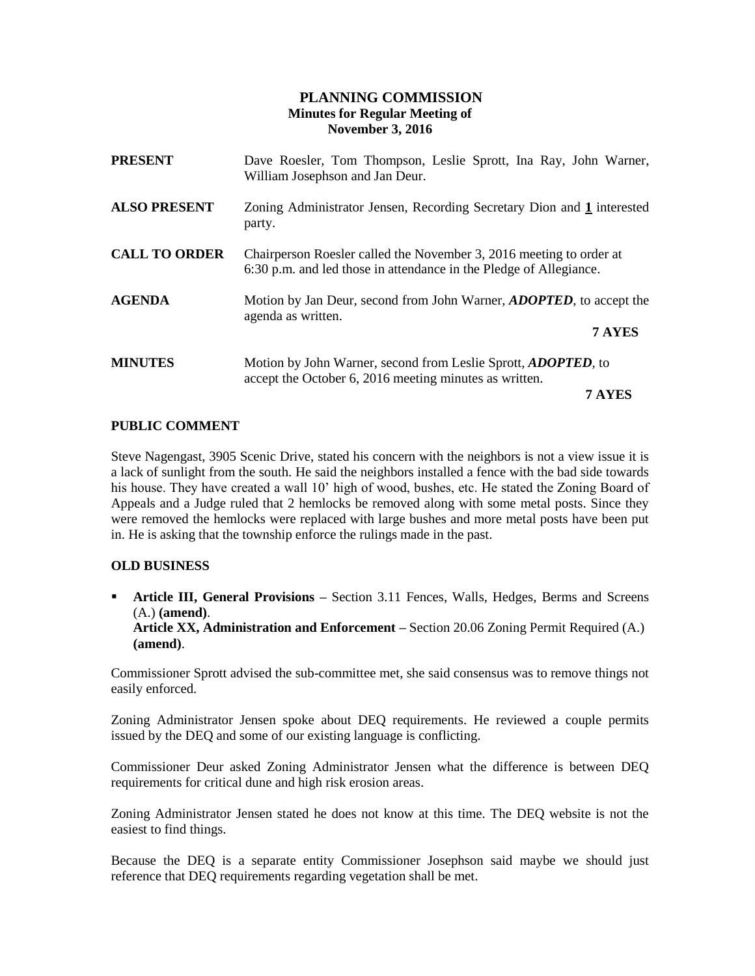### **PLANNING COMMISSION Minutes for Regular Meeting of November 3, 2016**

| <b>PRESENT</b>       | Dave Roesler, Tom Thompson, Leslie Sprott, Ina Ray, John Warner,<br>William Josephson and Jan Deur.                                       |  |
|----------------------|-------------------------------------------------------------------------------------------------------------------------------------------|--|
| <b>ALSO PRESENT</b>  | Zoning Administrator Jensen, Recording Secretary Dion and 1 interested<br>party.                                                          |  |
| <b>CALL TO ORDER</b> | Chairperson Roesler called the November 3, 2016 meeting to order at<br>6:30 p.m. and led those in attendance in the Pledge of Allegiance. |  |
| <b>AGENDA</b>        | Motion by Jan Deur, second from John Warner, <i>ADOPTED</i> , to accept the<br>agenda as written.<br>7 AYES                               |  |
| <b>MINUTES</b>       | Motion by John Warner, second from Leslie Sprott, <i>ADOPTED</i> , to<br>accept the October 6, 2016 meeting minutes as written.<br>7 AYES |  |

#### **PUBLIC COMMENT**

Steve Nagengast, 3905 Scenic Drive, stated his concern with the neighbors is not a view issue it is a lack of sunlight from the south. He said the neighbors installed a fence with the bad side towards his house. They have created a wall 10' high of wood, bushes, etc. He stated the Zoning Board of Appeals and a Judge ruled that 2 hemlocks be removed along with some metal posts. Since they were removed the hemlocks were replaced with large bushes and more metal posts have been put in. He is asking that the township enforce the rulings made in the past.

#### **OLD BUSINESS**

**• Article III, General Provisions –** Section 3.11 Fences, Walls, Hedges, Berms and Screens (A.) **(amend)**. **Article XX, Administration and Enforcement –** Section 20.06 Zoning Permit Required (A.) **(amend)**.

Commissioner Sprott advised the sub-committee met, she said consensus was to remove things not easily enforced.

Zoning Administrator Jensen spoke about DEQ requirements. He reviewed a couple permits issued by the DEQ and some of our existing language is conflicting.

Commissioner Deur asked Zoning Administrator Jensen what the difference is between DEQ requirements for critical dune and high risk erosion areas.

Zoning Administrator Jensen stated he does not know at this time. The DEQ website is not the easiest to find things.

Because the DEQ is a separate entity Commissioner Josephson said maybe we should just reference that DEQ requirements regarding vegetation shall be met.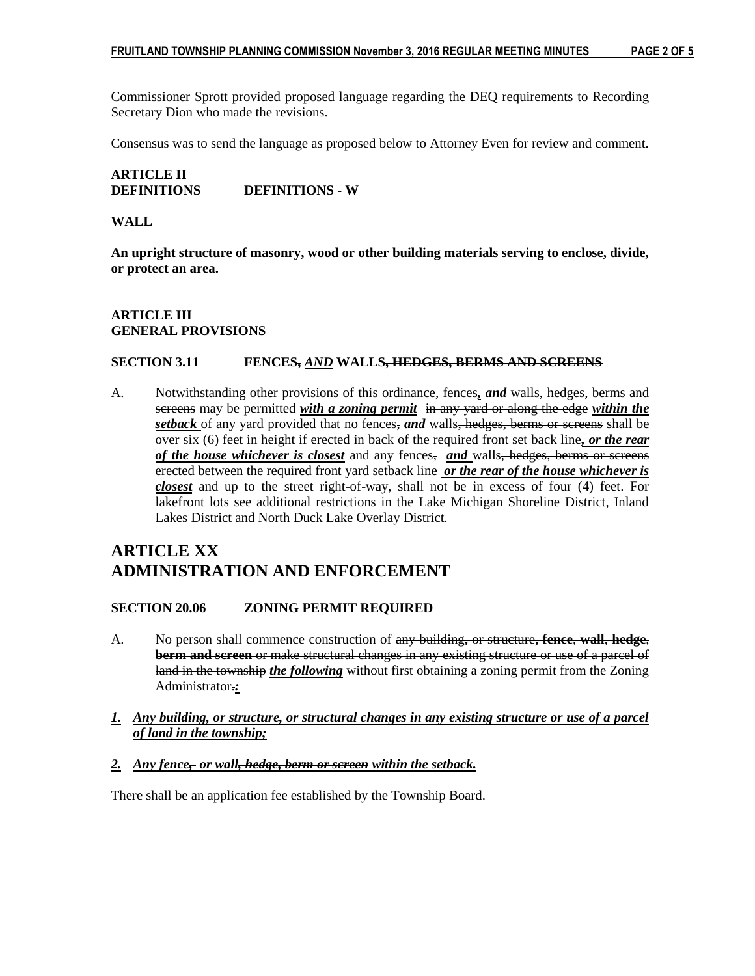Commissioner Sprott provided proposed language regarding the DEQ requirements to Recording Secretary Dion who made the revisions.

Consensus was to send the language as proposed below to Attorney Even for review and comment.

## **ARTICLE II DEFINITIONS DEFINITIONS - W**

#### **WALL**

**An upright structure of masonry, wood or other building materials serving to enclose, divide, or protect an area.**

#### **ARTICLE III GENERAL PROVISIONS**

#### **SECTION 3.11 FENCES,** *AND* **WALLS, HEDGES, BERMS AND SCREENS**

A. Notwithstanding other provisions of this ordinance, fences<sub>*i</sub>* and walls, hedges, berms and</sub> screens may be permitted *with a zoning permit* in any yard or along the edge *within the setback* of any yard provided that no fences, *and* walls, hedges, berms or screens shall be over six (6) feet in height if erected in back of the required front set back line*, or the rear of the house whichever is closest* and any fences, *and* walls, hedges, berms or screens erected between the required front yard setback line *or the rear of the house whichever is closest* and up to the street right-of-way, shall not be in excess of four (4) feet. For lakefront lots see additional restrictions in the Lake Michigan Shoreline District, Inland Lakes District and North Duck Lake Overlay District.

# **ARTICLE XX ADMINISTRATION AND ENFORCEMENT**

#### **SECTION 20.06 ZONING PERMIT REQUIRED**

- A. No person shall commence construction of any building**,** or structure**, fence**, **wall**, **hedge**, **berm and screen** or make structural changes in any existing structure or use of a parcel of land in the township *the following* without first obtaining a zoning permit from the Zoning Administrator.*:*
- *1. Any building, or structure, or structural changes in any existing structure or use of a parcel of land in the township;*
- *2. Any fence, or wall, hedge, berm or screen within the setback.*

There shall be an application fee established by the Township Board.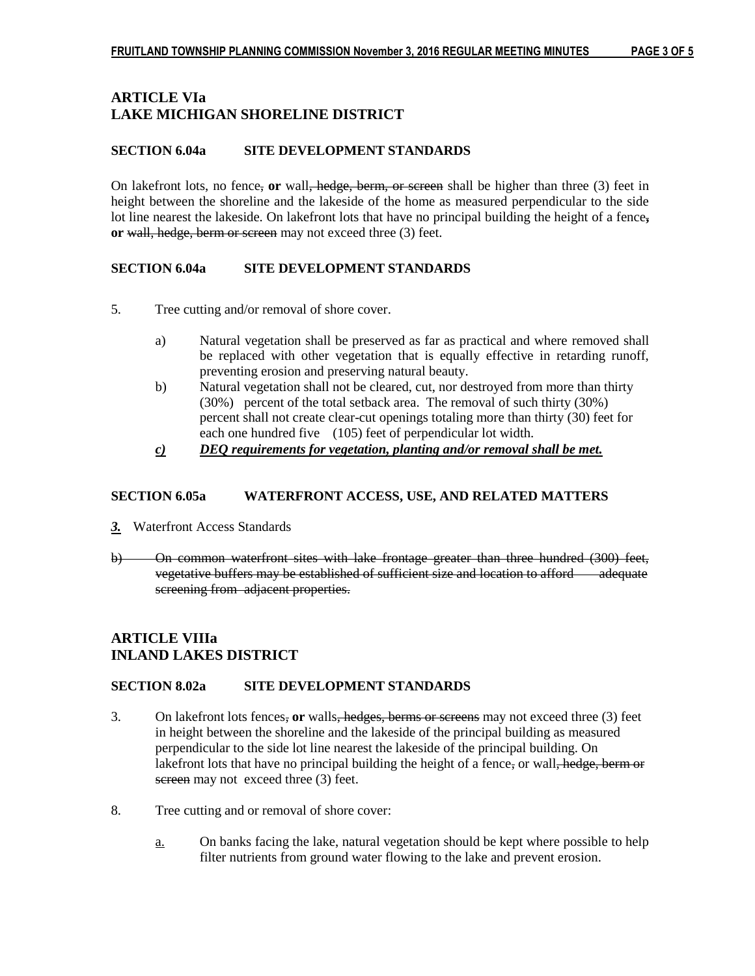## **ARTICLE VIa LAKE MICHIGAN SHORELINE DISTRICT**

#### **SECTION 6.04a SITE DEVELOPMENT STANDARDS**

On lakefront lots, no fence, **or** wall, hedge, berm, or screen shall be higher than three (3) feet in height between the shoreline and the lakeside of the home as measured perpendicular to the side lot line nearest the lakeside. On lakefront lots that have no principal building the height of a fence**, or** wall, hedge, berm or screen may not exceed three (3) feet.

#### **SECTION 6.04a SITE DEVELOPMENT STANDARDS**

- 5. Tree cutting and/or removal of shore cover.
	- a) Natural vegetation shall be preserved as far as practical and where removed shall be replaced with other vegetation that is equally effective in retarding runoff, preventing erosion and preserving natural beauty.
	- b) Natural vegetation shall not be cleared, cut, nor destroyed from more than thirty (30%) percent of the total setback area. The removal of such thirty (30%) percent shall not create clear-cut openings totaling more than thirty (30) feet for each one hundred five (105) feet of perpendicular lot width.
	- *c) DEQ requirements for vegetation, planting and/or removal shall be met.*

#### **SECTION 6.05a WATERFRONT ACCESS, USE, AND RELATED MATTERS**

- *3.* Waterfront Access Standards
- b) On common waterfront sites with lake frontage greater than three hundred (300) feet, vegetative buffers may be established of sufficient size and location to afford adequate screening from adjacent properties.

## **ARTICLE VIIIa INLAND LAKES DISTRICT**

#### **SECTION 8.02a SITE DEVELOPMENT STANDARDS**

- 3. On lakefront lots fences, **or** walls, hedges, berms or screens may not exceed three (3) feet in height between the shoreline and the lakeside of the principal building as measured perpendicular to the side lot line nearest the lakeside of the principal building. On lakefront lots that have no principal building the height of a fence, or wall, hedge, berm or screen may not exceed three (3) feet.
- 8. Tree cutting and or removal of shore cover:
	- a. On banks facing the lake, natural vegetation should be kept where possible to help filter nutrients from ground water flowing to the lake and prevent erosion.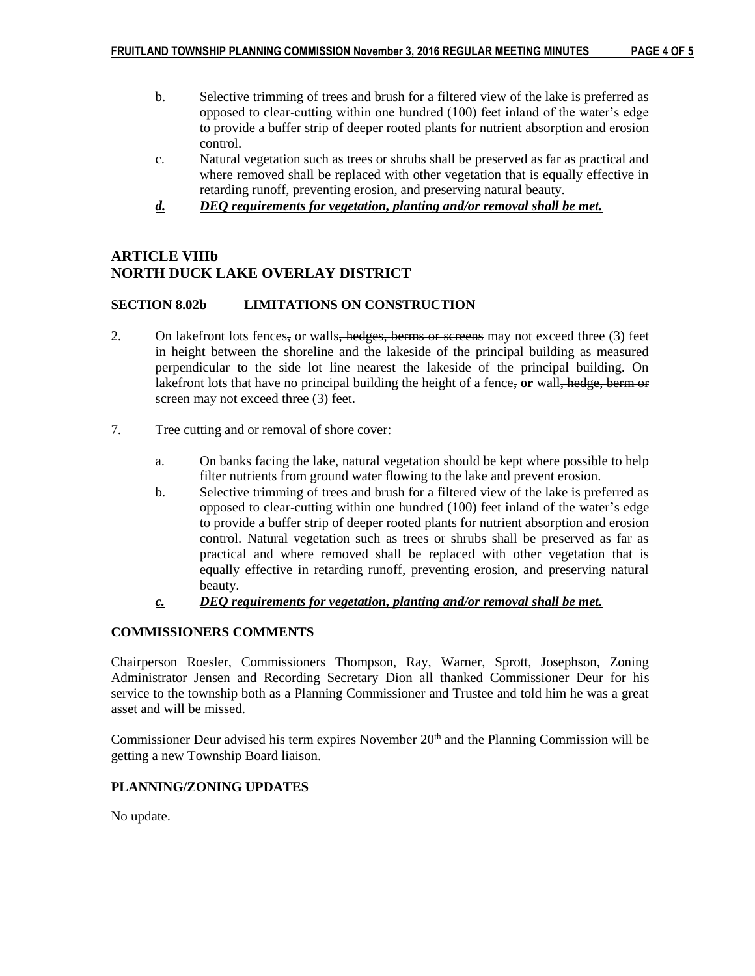- b. Selective trimming of trees and brush for a filtered view of the lake is preferred as opposed to clear-cutting within one hundred (100) feet inland of the water's edge to provide a buffer strip of deeper rooted plants for nutrient absorption and erosion control.
- c. Natural vegetation such as trees or shrubs shall be preserved as far as practical and where removed shall be replaced with other vegetation that is equally effective in retarding runoff, preventing erosion, and preserving natural beauty.
- *d. DEQ requirements for vegetation, planting and/or removal shall be met.*

## **ARTICLE VIIIb NORTH DUCK LAKE OVERLAY DISTRICT**

## **SECTION 8.02b LIMITATIONS ON CONSTRUCTION**

- 2. On lakefront lots fences, or walls, hedges, berms or screens may not exceed three (3) feet in height between the shoreline and the lakeside of the principal building as measured perpendicular to the side lot line nearest the lakeside of the principal building. On lakefront lots that have no principal building the height of a fence, **or** wall, hedge, berm or screen may not exceed three (3) feet.
- 7. Tree cutting and or removal of shore cover:
	- a. On banks facing the lake, natural vegetation should be kept where possible to help filter nutrients from ground water flowing to the lake and prevent erosion.
	- b. Selective trimming of trees and brush for a filtered view of the lake is preferred as opposed to clear-cutting within one hundred (100) feet inland of the water's edge to provide a buffer strip of deeper rooted plants for nutrient absorption and erosion control. Natural vegetation such as trees or shrubs shall be preserved as far as practical and where removed shall be replaced with other vegetation that is equally effective in retarding runoff, preventing erosion, and preserving natural beauty.
	- *c. DEQ requirements for vegetation, planting and/or removal shall be met.*

## **COMMISSIONERS COMMENTS**

Chairperson Roesler, Commissioners Thompson, Ray, Warner, Sprott, Josephson, Zoning Administrator Jensen and Recording Secretary Dion all thanked Commissioner Deur for his service to the township both as a Planning Commissioner and Trustee and told him he was a great asset and will be missed.

Commissioner Deur advised his term expires November  $20<sup>th</sup>$  and the Planning Commission will be getting a new Township Board liaison.

## **PLANNING/ZONING UPDATES**

No update.